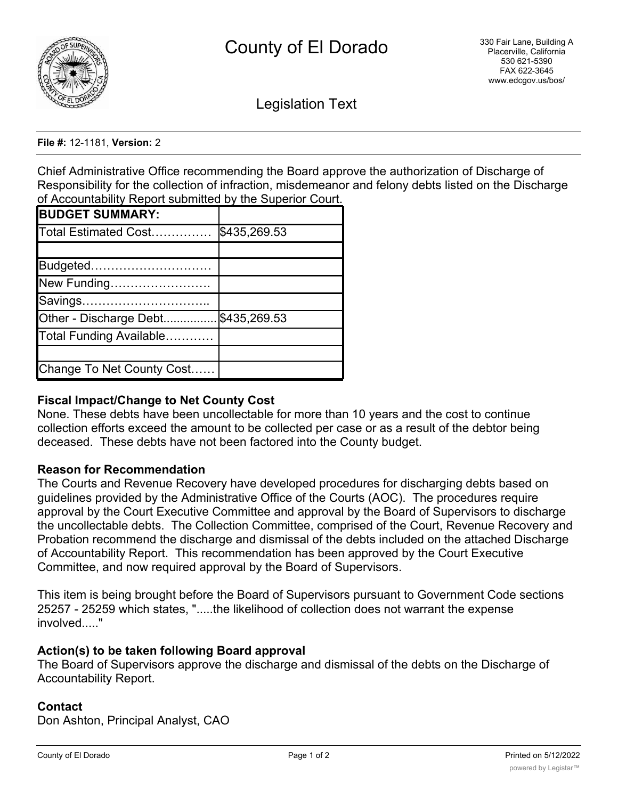

Legislation Text

#### **File #:** 12-1181, **Version:** 2

Chief Administrative Office recommending the Board approve the authorization of Discharge of Responsibility for the collection of infraction, misdemeanor and felony debts listed on the Discharge of Accountability Report submitted by the Superior Court.

| <b>BUDGET SUMMARY:</b>    |              |
|---------------------------|--------------|
| Total Estimated Cost      | \$435,269.53 |
|                           |              |
| Budgeted                  |              |
| New Funding               |              |
| Savings                   |              |
| Other - Discharge Debt    | \$435,269.53 |
| Total Funding Available   |              |
|                           |              |
| Change To Net County Cost |              |

## **Fiscal Impact/Change to Net County Cost**

None. These debts have been uncollectable for more than 10 years and the cost to continue collection efforts exceed the amount to be collected per case or as a result of the debtor being deceased. These debts have not been factored into the County budget.

### **Reason for Recommendation**

The Courts and Revenue Recovery have developed procedures for discharging debts based on guidelines provided by the Administrative Office of the Courts (AOC). The procedures require approval by the Court Executive Committee and approval by the Board of Supervisors to discharge the uncollectable debts. The Collection Committee, comprised of the Court, Revenue Recovery and Probation recommend the discharge and dismissal of the debts included on the attached Discharge of Accountability Report. This recommendation has been approved by the Court Executive Committee, and now required approval by the Board of Supervisors.

This item is being brought before the Board of Supervisors pursuant to Government Code sections 25257 - 25259 which states, ".....the likelihood of collection does not warrant the expense involved....."

### **Action(s) to be taken following Board approval**

The Board of Supervisors approve the discharge and dismissal of the debts on the Discharge of Accountability Report.

### **Contact**

Don Ashton, Principal Analyst, CAO